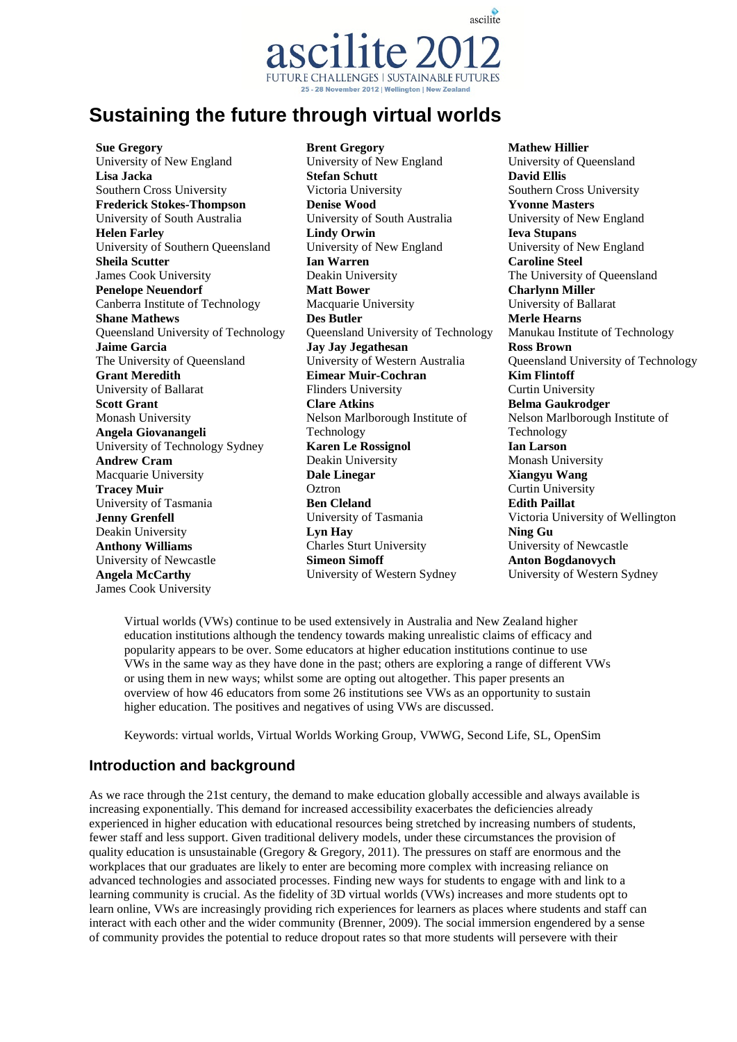ascilite **FUTURE CHALLENGES | SUSTAINABLE FUTURES** 25 - 28 November 2012 | Wellington | New Zealand

# **Sustaining the future through virtual worlds**

**Sue Gregory** University of New England **Lisa Jacka** Southern Cross University **Frederick Stokes-Thompson** University of South Australia **Helen Farley** University of Southern Queensland **Sheila Scutter** James Cook University **Penelope Neuendorf** Canberra Institute of Technology **Shane Mathews** Queensland University of Technology **Jaime Garcia** The University of Queensland **Grant Meredith** University of Ballarat **Scott Grant** Monash University **Angela Giovanangeli** University of Technology Sydney **Andrew Cram** Macquarie University **Tracey Muir** University of Tasmania **Jenny Grenfell** Deakin University **Anthony Williams** University of Newcastle **Angela McCarthy** James Cook University

**Brent Gregory** University of New England **Stefan Schutt** Victoria University **Denise Wood** University of South Australia **Lindy Orwin** University of New England **Ian Warren** Deakin University **Matt Bower** Macquarie University **Des Butler** Queensland University of Technology **Jay Jay Jegathesan** University of Western Australia **Eimear Muir-Cochran** Flinders University **Clare Atkins** Nelson Marlborough Institute of Technology **Karen Le Rossignol**  Deakin University **Dale Linegar Oztron Ben Cleland** University of Tasmania **Lyn Hay** Charles Sturt University **Simeon Simoff** University of Western Sydney

**Mathew Hillier** University of Queensland **David Ellis** Southern Cross University **Yvonne Masters** University of New England **Ieva Stupans** University of New England **Caroline Steel** The University of Queensland **Charlynn Miller** University of Ballarat **Merle Hearns** Manukau Institute of Technology **Ross Brown** Queensland University of Technology **Kim Flintoff** Curtin University **Belma Gaukrodger** Nelson Marlborough Institute of Technology **Ian Larson** Monash University **Xiangyu Wang** Curtin University **Edith Paillat** Victoria University of Wellington **Ning Gu** University of Newcastle **Anton Bogdanovych** University of Western Sydney

Virtual worlds (VWs) continue to be used extensively in Australia and New Zealand higher education institutions although the tendency towards making unrealistic claims of efficacy and popularity appears to be over. Some educators at higher education institutions continue to use VWs in the same way as they have done in the past; others are exploring a range of different VWs or using them in new ways; whilst some are opting out altogether. This paper presents an overview of how 46 educators from some 26 institutions see VWs as an opportunity to sustain higher education. The positives and negatives of using VWs are discussed.

Keywords: virtual worlds, Virtual Worlds Working Group, VWWG, Second Life, SL, OpenSim

# **Introduction and background**

As we race through the 21st century, the demand to make education globally accessible and always available is increasing exponentially. This demand for increased accessibility exacerbates the deficiencies already experienced in higher education with educational resources being stretched by increasing numbers of students, fewer staff and less support. Given traditional delivery models, under these circumstances the provision of quality education is unsustainable (Gregory  $\&$  Gregory, 2011). The pressures on staff are enormous and the workplaces that our graduates are likely to enter are becoming more complex with increasing reliance on advanced technologies and associated processes. Finding new ways for students to engage with and link to a learning community is crucial. As the fidelity of 3D virtual worlds (VWs) increases and more students opt to learn online, VWs are increasingly providing rich experiences for learners as places where students and staff can interact with each other and the wider community (Brenner, 2009). The social immersion engendered by a sense of community provides the potential to reduce dropout rates so that more students will persevere with their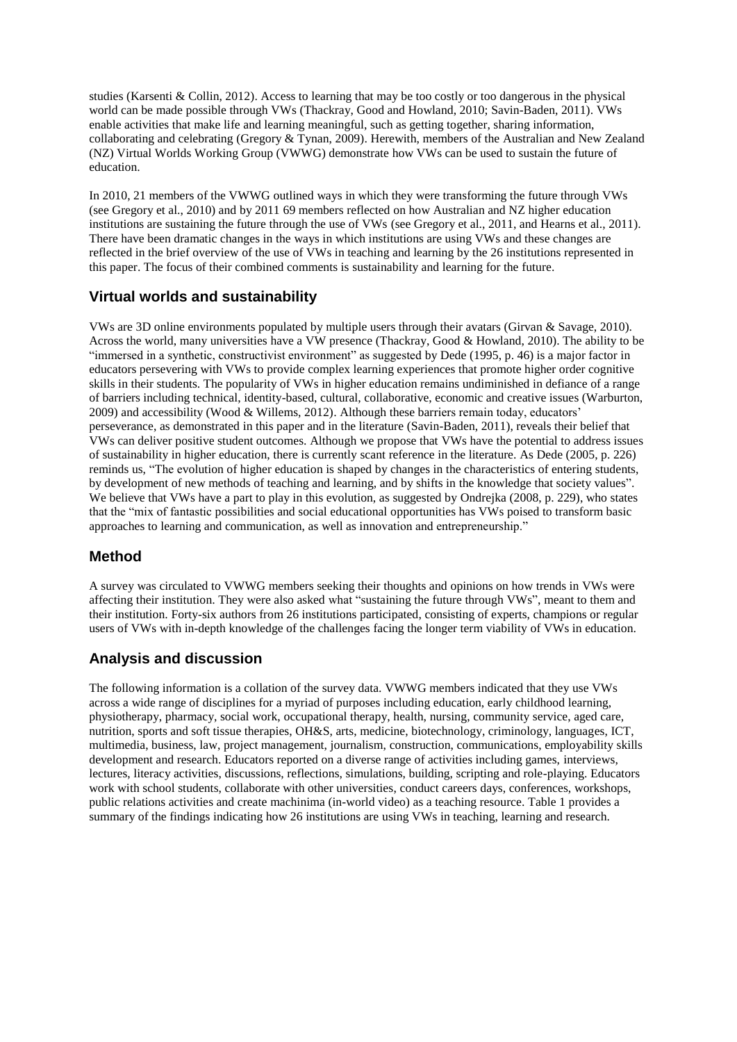studies (Karsenti & Collin, 2012). Access to learning that may be too costly or too dangerous in the physical world can be made possible through VWs (Thackray, Good and Howland, 2010; Savin-Baden, 2011). VWs enable activities that make life and learning meaningful, such as getting together, sharing information, collaborating and celebrating (Gregory & Tynan, 2009). Herewith, members of the Australian and New Zealand (NZ) Virtual Worlds Working Group (VWWG) demonstrate how VWs can be used to sustain the future of education.

In 2010, 21 members of the VWWG outlined ways in which they were transforming the future through VWs (see Gregory et al., 2010) and by 2011 69 members reflected on how Australian and NZ higher education institutions are sustaining the future through the use of VWs (see Gregory et al., 2011, and Hearns et al., 2011). There have been dramatic changes in the ways in which institutions are using VWs and these changes are reflected in the brief overview of the use of VWs in teaching and learning by the 26 institutions represented in this paper. The focus of their combined comments is sustainability and learning for the future.

# **Virtual worlds and sustainability**

VWs are 3D online environments populated by multiple users through their avatars (Girvan & Savage, 2010). Across the world, many universities have a VW presence (Thackray, Good & Howland, 2010). The ability to be "immersed in a synthetic, constructivist environment" as suggested by Dede (1995, p. 46) is a major factor in educators persevering with VWs to provide complex learning experiences that promote higher order cognitive skills in their students. The popularity of VWs in higher education remains undiminished in defiance of a range of barriers including technical, identity-based, cultural, collaborative, economic and creative issues (Warburton, 2009) and accessibility (Wood & Willems, 2012). Although these barriers remain today, educators' perseverance, as demonstrated in this paper and in the literature (Savin-Baden, 2011), reveals their belief that VWs can deliver positive student outcomes. Although we propose that VWs have the potential to address issues of sustainability in higher education, there is currently scant reference in the literature. As Dede (2005, p. 226) reminds us, "The evolution of higher education is shaped by changes in the characteristics of entering students, by development of new methods of teaching and learning, and by shifts in the knowledge that society values". We believe that VWs have a part to play in this evolution, as suggested by Ondrejka (2008, p. 229), who states that the "mix of fantastic possibilities and social educational opportunities has VWs poised to transform basic approaches to learning and communication, as well as innovation and entrepreneurship."

# **Method**

A survey was circulated to VWWG members seeking their thoughts and opinions on how trends in VWs were affecting their institution. They were also asked what "sustaining the future through VWs", meant to them and their institution. Forty-six authors from 26 institutions participated, consisting of experts, champions or regular users of VWs with in-depth knowledge of the challenges facing the longer term viability of VWs in education.

# **Analysis and discussion**

The following information is a collation of the survey data. VWWG members indicated that they use VWs across a wide range of disciplines for a myriad of purposes including education, early childhood learning, physiotherapy, pharmacy, social work, occupational therapy, health, nursing, community service, aged care, nutrition, sports and soft tissue therapies, OH&S, arts, medicine, biotechnology, criminology, languages, ICT, multimedia, business, law, project management, journalism, construction, communications, employability skills development and research. Educators reported on a diverse range of activities including games, interviews, lectures, literacy activities, discussions, reflections, simulations, building, scripting and role-playing. Educators work with school students, collaborate with other universities, conduct careers days, conferences, workshops, public relations activities and create machinima (in-world video) as a teaching resource. Table 1 provides a summary of the findings indicating how 26 institutions are using VWs in teaching, learning and research.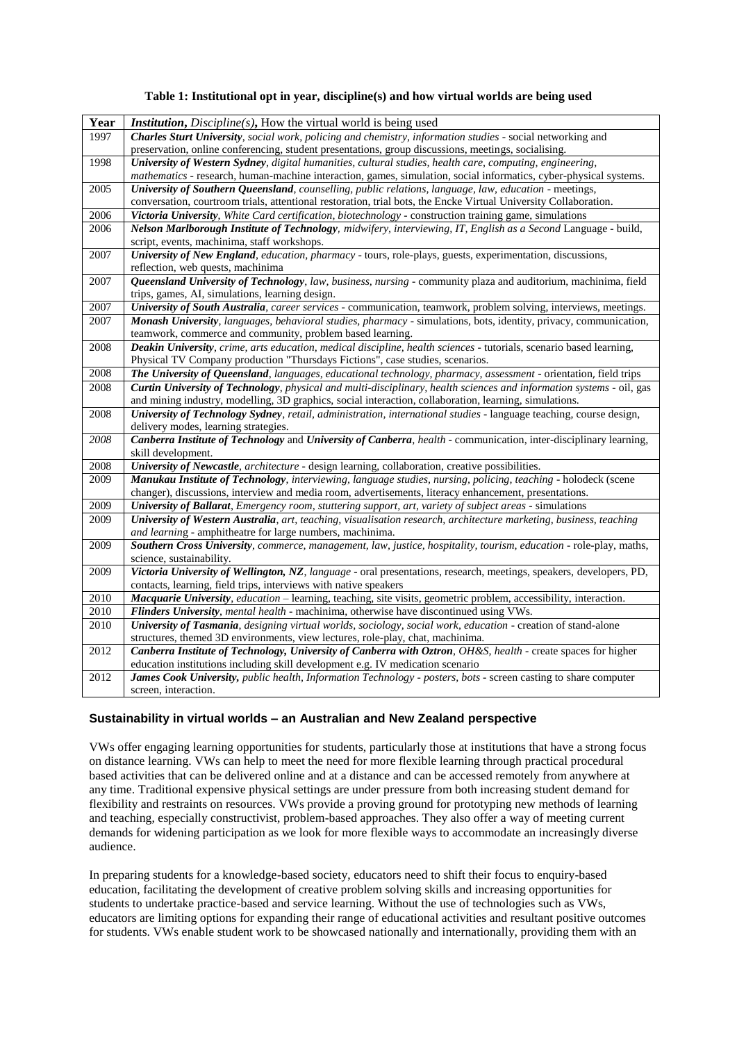#### **Table 1: Institutional opt in year, discipline(s) and how virtual worlds are being used**

| Year | <i>Institution, Discipline(s), How the virtual world is being used</i>                                                |  |  |
|------|-----------------------------------------------------------------------------------------------------------------------|--|--|
| 1997 | Charles Sturt University, social work, policing and chemistry, information studies - social networking and            |  |  |
|      | preservation, online conferencing, student presentations, group discussions, meetings, socialising.                   |  |  |
| 1998 | University of Western Sydney, digital humanities, cultural studies, health care, computing, engineering,              |  |  |
|      | mathematics - research, human-machine interaction, games, simulation, social informatics, cyber-physical systems.     |  |  |
| 2005 | University of Southern Queensland, counselling, public relations, language, law, education - meetings,                |  |  |
|      | conversation, courtroom trials, attentional restoration, trial bots, the Encke Virtual University Collaboration.      |  |  |
| 2006 | Victoria University, White Card certification, biotechnology - construction training game, simulations                |  |  |
| 2006 | Nelson Marlborough Institute of Technology, midwifery, interviewing, IT, English as a Second Language - build,        |  |  |
|      | script, events, machinima, staff workshops.                                                                           |  |  |
| 2007 | University of New England, education, pharmacy - tours, role-plays, guests, experimentation, discussions,             |  |  |
|      | reflection, web quests, machinima                                                                                     |  |  |
| 2007 | Queensland University of Technology, law, business, nursing - community plaza and auditorium, machinima, field        |  |  |
|      | trips, games, AI, simulations, learning design.                                                                       |  |  |
| 2007 | University of South Australia, career services - communication, teamwork, problem solving, interviews, meetings.      |  |  |
| 2007 | Monash University, languages, behavioral studies, pharmacy - simulations, bots, identity, privacy, communication,     |  |  |
|      | teamwork, commerce and community, problem based learning.                                                             |  |  |
| 2008 | Deakin University, crime, arts education, medical discipline, health sciences - tutorials, scenario based learning,   |  |  |
|      | Physical TV Company production "Thursdays Fictions", case studies, scenarios.                                         |  |  |
| 2008 | The University of Queensland, languages, educational technology, pharmacy, assessment - orientation, field trips      |  |  |
| 2008 | Curtin University of Technology, physical and multi-disciplinary, health sciences and information systems - oil, gas  |  |  |
|      | and mining industry, modelling, 3D graphics, social interaction, collaboration, learning, simulations.                |  |  |
| 2008 | University of Technology Sydney, retail, administration, international studies - language teaching, course design,    |  |  |
|      | delivery modes, learning strategies.                                                                                  |  |  |
| 2008 | Canberra Institute of Technology and University of Canberra, health - communication, inter-disciplinary learning,     |  |  |
| 2008 | skill development.<br>University of Newcastle, architecture - design learning, collaboration, creative possibilities. |  |  |
| 2009 | Manukau Institute of Technology, interviewing, language studies, nursing, policing, teaching - holodeck (scene        |  |  |
|      | changer), discussions, interview and media room, advertisements, literacy enhancement, presentations.                 |  |  |
| 2009 | University of Ballarat, Emergency room, stuttering support, art, variety of subject areas - simulations               |  |  |
| 2009 | University of Western Australia, art, teaching, visualisation research, architecture marketing, business, teaching    |  |  |
|      | and learning - amphitheatre for large numbers, machinima.                                                             |  |  |
| 2009 | Southern Cross University, commerce, management, law, justice, hospitality, tourism, education - role-play, maths,    |  |  |
|      | science, sustainability.                                                                                              |  |  |
| 2009 | Victoria University of Wellington, NZ, language - oral presentations, research, meetings, speakers, developers, PD,   |  |  |
|      | contacts, learning, field trips, interviews with native speakers                                                      |  |  |
| 2010 | Macquarie University, education - learning, teaching, site visits, geometric problem, accessibility, interaction.     |  |  |
| 2010 | Flinders University, mental health - machinima, otherwise have discontinued using VWs.                                |  |  |
| 2010 | University of Tasmania, designing virtual worlds, sociology, social work, education - creation of stand-alone         |  |  |
|      | structures, themed 3D environments, view lectures, role-play, chat, machinima.                                        |  |  |
| 2012 | Canberra Institute of Technology, University of Canberra with Oztron, OH&S, health - create spaces for higher         |  |  |
|      | education institutions including skill development e.g. IV medication scenario                                        |  |  |
| 2012 | James Cook University, public health, Information Technology - posters, bots - screen casting to share computer       |  |  |
|      | screen, interaction.                                                                                                  |  |  |

### **Sustainability in virtual worlds – an Australian and New Zealand perspective**

VWs offer engaging learning opportunities for students, particularly those at institutions that have a strong focus on distance learning. VWs can help to meet the need for more flexible learning through practical procedural based activities that can be delivered online and at a distance and can be accessed remotely from anywhere at any time. Traditional expensive physical settings are under pressure from both increasing student demand for flexibility and restraints on resources. VWs provide a proving ground for prototyping new methods of learning and teaching, especially constructivist, problem-based approaches. They also offer a way of meeting current demands for widening participation as we look for more flexible ways to accommodate an increasingly diverse audience.

In preparing students for a knowledge-based society, educators need to shift their focus to enquiry-based education, facilitating the development of creative problem solving skills and increasing opportunities for students to undertake practice-based and service learning. Without the use of technologies such as VWs, educators are limiting options for expanding their range of educational activities and resultant positive outcomes for students. VWs enable student work to be showcased nationally and internationally, providing them with an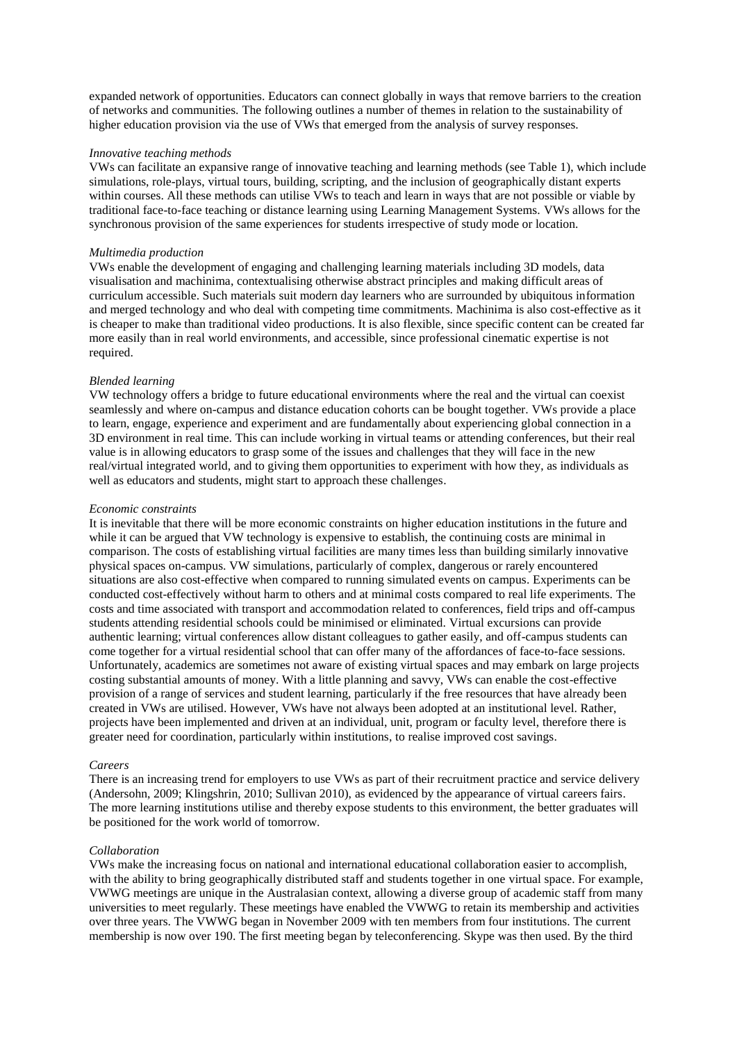expanded network of opportunities. Educators can connect globally in ways that remove barriers to the creation of networks and communities. The following outlines a number of themes in relation to the sustainability of higher education provision via the use of VWs that emerged from the analysis of survey responses.

#### *Innovative teaching methods*

VWs can facilitate an expansive range of innovative teaching and learning methods (see Table 1), which include simulations, role-plays, virtual tours, building, scripting, and the inclusion of geographically distant experts within courses. All these methods can utilise VWs to teach and learn in ways that are not possible or viable by traditional face-to-face teaching or distance learning using Learning Management Systems. VWs allows for the synchronous provision of the same experiences for students irrespective of study mode or location.

#### *Multimedia production*

VWs enable the development of engaging and challenging learning materials including 3D models, data visualisation and machinima, contextualising otherwise abstract principles and making difficult areas of curriculum accessible. Such materials suit modern day learners who are surrounded by ubiquitous information and merged technology and who deal with competing time commitments. Machinima is also cost-effective as it is cheaper to make than traditional video productions. It is also flexible, since specific content can be created far more easily than in real world environments, and accessible, since professional cinematic expertise is not required.

#### *Blended learning*

VW technology offers a bridge to future educational environments where the real and the virtual can coexist seamlessly and where on-campus and distance education cohorts can be bought together. VWs provide a place to learn, engage, experience and experiment and are fundamentally about experiencing global connection in a 3D environment in real time. This can include working in virtual teams or attending conferences, but their real value is in allowing educators to grasp some of the issues and challenges that they will face in the new real/virtual integrated world, and to giving them opportunities to experiment with how they, as individuals as well as educators and students, might start to approach these challenges.

#### *Economic constraints*

It is inevitable that there will be more economic constraints on higher education institutions in the future and while it can be argued that VW technology is expensive to establish, the continuing costs are minimal in comparison. The costs of establishing virtual facilities are many times less than building similarly innovative physical spaces on-campus. VW simulations, particularly of complex, dangerous or rarely encountered situations are also cost-effective when compared to running simulated events on campus. Experiments can be conducted cost-effectively without harm to others and at minimal costs compared to real life experiments. The costs and time associated with transport and accommodation related to conferences, field trips and off-campus students attending residential schools could be minimised or eliminated. Virtual excursions can provide authentic learning; virtual conferences allow distant colleagues to gather easily, and off-campus students can come together for a virtual residential school that can offer many of the affordances of face-to-face sessions. Unfortunately, academics are sometimes not aware of existing virtual spaces and may embark on large projects costing substantial amounts of money. With a little planning and savvy, VWs can enable the cost-effective provision of a range of services and student learning, particularly if the free resources that have already been created in VWs are utilised. However, VWs have not always been adopted at an institutional level. Rather, projects have been implemented and driven at an individual, unit, program or faculty level, therefore there is greater need for coordination, particularly within institutions, to realise improved cost savings.

#### *Careers*

There is an increasing trend for employers to use VWs as part of their recruitment practice and service delivery (Andersohn, 2009; Klingshrin, 2010; Sullivan 2010), as evidenced by the appearance of virtual careers fairs. The more learning institutions utilise and thereby expose students to this environment, the better graduates will be positioned for the work world of tomorrow.

#### *Collaboration*

VWs make the increasing focus on national and international educational collaboration easier to accomplish, with the ability to bring geographically distributed staff and students together in one virtual space. For example, VWWG meetings are unique in the Australasian context, allowing a diverse group of academic staff from many universities to meet regularly. These meetings have enabled the VWWG to retain its membership and activities over three years. The VWWG began in November 2009 with ten members from four institutions. The current membership is now over 190. The first meeting began by teleconferencing. Skype was then used. By the third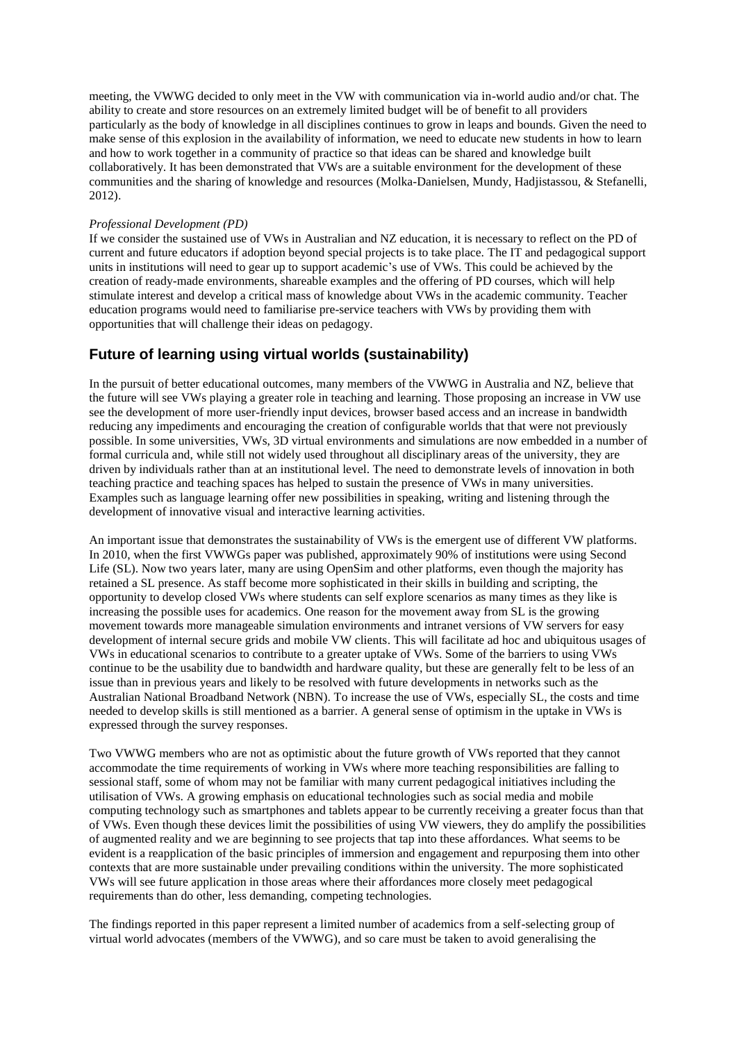meeting, the VWWG decided to only meet in the VW with communication via in-world audio and/or chat. The ability to create and store resources on an extremely limited budget will be of benefit to all providers particularly as the body of knowledge in all disciplines continues to grow in leaps and bounds. Given the need to make sense of this explosion in the availability of information, we need to educate new students in how to learn and how to work together in a community of practice so that ideas can be shared and knowledge built collaboratively. It has been demonstrated that VWs are a suitable environment for the development of these communities and the sharing of knowledge and resources (Molka-Danielsen, Mundy, Hadjistassou, & Stefanelli, 2012).

#### *Professional Development (PD)*

If we consider the sustained use of VWs in Australian and NZ education, it is necessary to reflect on the PD of current and future educators if adoption beyond special projects is to take place. The IT and pedagogical support units in institutions will need to gear up to support academic's use of VWs. This could be achieved by the creation of ready-made environments, shareable examples and the offering of PD courses, which will help stimulate interest and develop a critical mass of knowledge about VWs in the academic community. Teacher education programs would need to familiarise pre-service teachers with VWs by providing them with opportunities that will challenge their ideas on pedagogy.

# **Future of learning using virtual worlds (sustainability)**

In the pursuit of better educational outcomes, many members of the VWWG in Australia and NZ, believe that the future will see VWs playing a greater role in teaching and learning. Those proposing an increase in VW use see the development of more user-friendly input devices, browser based access and an increase in bandwidth reducing any impediments and encouraging the creation of configurable worlds that that were not previously possible. In some universities, VWs, 3D virtual environments and simulations are now embedded in a number of formal curricula and, while still not widely used throughout all disciplinary areas of the university, they are driven by individuals rather than at an institutional level. The need to demonstrate levels of innovation in both teaching practice and teaching spaces has helped to sustain the presence of VWs in many universities. Examples such as language learning offer new possibilities in speaking, writing and listening through the development of innovative visual and interactive learning activities.

An important issue that demonstrates the sustainability of VWs is the emergent use of different VW platforms. In 2010, when the first VWWGs paper was published, approximately 90% of institutions were using Second Life (SL). Now two years later, many are using OpenSim and other platforms, even though the majority has retained a SL presence. As staff become more sophisticated in their skills in building and scripting, the opportunity to develop closed VWs where students can self explore scenarios as many times as they like is increasing the possible uses for academics. One reason for the movement away from SL is the growing movement towards more manageable simulation environments and intranet versions of VW servers for easy development of internal secure grids and mobile VW clients. This will facilitate ad hoc and ubiquitous usages of VWs in educational scenarios to contribute to a greater uptake of VWs. Some of the barriers to using VWs continue to be the usability due to bandwidth and hardware quality, but these are generally felt to be less of an issue than in previous years and likely to be resolved with future developments in networks such as the Australian National Broadband Network (NBN). To increase the use of VWs, especially SL, the costs and time needed to develop skills is still mentioned as a barrier. A general sense of optimism in the uptake in VWs is expressed through the survey responses.

Two VWWG members who are not as optimistic about the future growth of VWs reported that they cannot accommodate the time requirements of working in VWs where more teaching responsibilities are falling to sessional staff, some of whom may not be familiar with many current pedagogical initiatives including the utilisation of VWs. A growing emphasis on educational technologies such as social media and mobile computing technology such as smartphones and tablets appear to be currently receiving a greater focus than that of VWs. Even though these devices limit the possibilities of using VW viewers, they do amplify the possibilities of augmented reality and we are beginning to see projects that tap into these affordances. What seems to be evident is a reapplication of the basic principles of immersion and engagement and repurposing them into other contexts that are more sustainable under prevailing conditions within the university. The more sophisticated VWs will see future application in those areas where their affordances more closely meet pedagogical requirements than do other, less demanding, competing technologies.

The findings reported in this paper represent a limited number of academics from a self-selecting group of virtual world advocates (members of the VWWG), and so care must be taken to avoid generalising the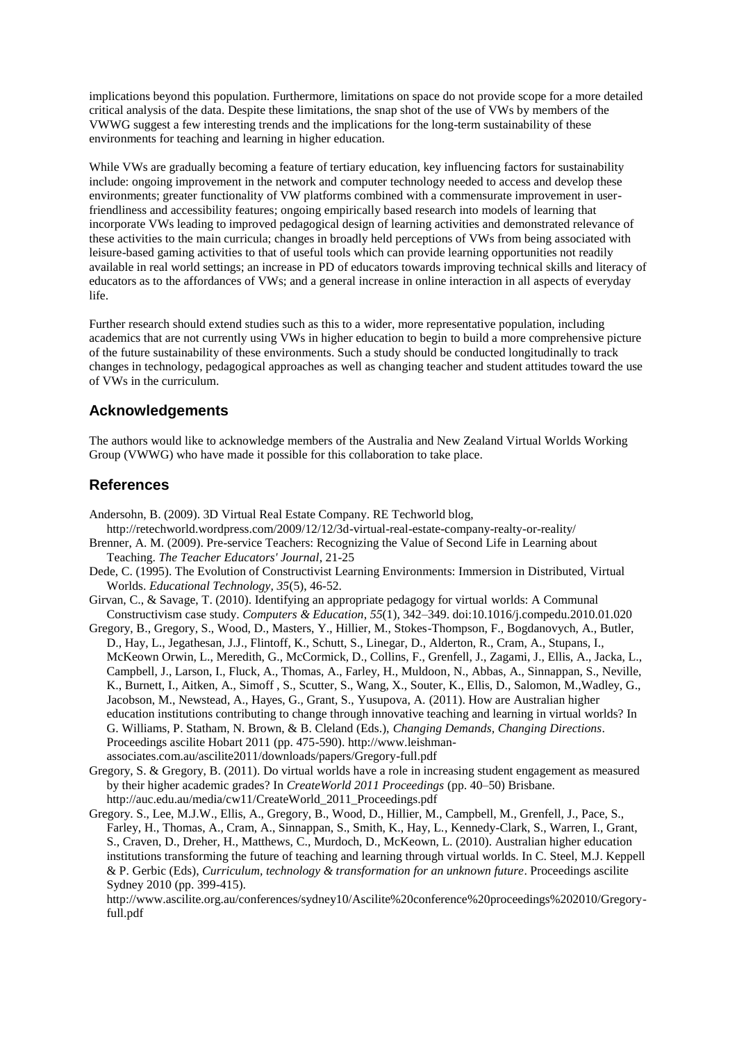implications beyond this population. Furthermore, limitations on space do not provide scope for a more detailed critical analysis of the data. Despite these limitations, the snap shot of the use of VWs by members of the VWWG suggest a few interesting trends and the implications for the long-term sustainability of these environments for teaching and learning in higher education.

While VWs are gradually becoming a feature of tertiary education, key influencing factors for sustainability include: ongoing improvement in the network and computer technology needed to access and develop these environments; greater functionality of VW platforms combined with a commensurate improvement in userfriendliness and accessibility features; ongoing empirically based research into models of learning that incorporate VWs leading to improved pedagogical design of learning activities and demonstrated relevance of these activities to the main curricula; changes in broadly held perceptions of VWs from being associated with leisure-based gaming activities to that of useful tools which can provide learning opportunities not readily available in real world settings; an increase in PD of educators towards improving technical skills and literacy of educators as to the affordances of VWs; and a general increase in online interaction in all aspects of everyday life.

Further research should extend studies such as this to a wider, more representative population, including academics that are not currently using VWs in higher education to begin to build a more comprehensive picture of the future sustainability of these environments. Such a study should be conducted longitudinally to track changes in technology, pedagogical approaches as well as changing teacher and student attitudes toward the use of VWs in the curriculum.

# **Acknowledgements**

The authors would like to acknowledge members of the Australia and New Zealand Virtual Worlds Working Group (VWWG) who have made it possible for this collaboration to take place.

### **References**

Andersohn, B. (2009). 3D Virtual Real Estate Company. RE Techworld blog,

- http://retechworld.wordpress.com/2009/12/12/3d-virtual-real-estate-company-realty-or-reality/ Brenner, A. M. (2009). Pre-service Teachers: Recognizing the Value of Second Life in Learning about Teaching. *The Teacher Educators' Journal*, 21-25
- Dede, C. (1995). The Evolution of Constructivist Learning Environments: Immersion in Distributed, Virtual Worlds. *Educational Technology, 35*(5), 46-52.
- Girvan, C., & Savage, T. (2010). Identifying an appropriate pedagogy for virtual worlds: A Communal Constructivism case study. *Computers & Education*, *55*(1), 342–349. doi:10.1016/j.compedu.2010.01.020
- Gregory, B., Gregory, S., Wood, D., Masters, Y., Hillier, M., Stokes-Thompson, F., Bogdanovych, A., Butler, D., Hay, L., Jegathesan, J.J., Flintoff, K., Schutt, S., Linegar, D., Alderton, R., Cram, A., Stupans, I., McKeown Orwin, L., Meredith, G., McCormick, D., Collins, F., Grenfell, J., Zagami, J., Ellis, A., Jacka, L., Campbell, J., Larson, I., Fluck, A., Thomas, A., Farley, H., Muldoon, N., Abbas, A., Sinnappan, S., Neville, K., Burnett, I., Aitken, A., Simoff , S., Scutter, S., Wang, X., Souter, K., Ellis, D., Salomon, M.,Wadley, G., Jacobson, M., Newstead, A., Hayes, G., Grant, S., Yusupova, A. (2011). How are Australian higher education institutions contributing to change through innovative teaching and learning in virtual worlds? In G. Williams, P. Statham, N. Brown, & B. Cleland (Eds.), *Changing Demands, Changing Directions*. Proceedings ascilite Hobart 2011 (pp. 475-590). http://www.leishmanassociates.com.au/ascilite2011/downloads/papers/Gregory-full.pdf
- Gregory, S. & Gregory, B. (2011). Do virtual worlds have a role in increasing student engagement as measured by their higher academic grades? In *CreateWorld 2011 Proceedings* (pp. 40–50) Brisbane. http://auc.edu.au/media/cw11/CreateWorld\_2011\_Proceedings.pdf
- Gregory. S., Lee, M.J.W., Ellis, A., Gregory, B., Wood, D., Hillier, M., Campbell, M., Grenfell, J., Pace, S., Farley, H., Thomas, A., Cram, A., Sinnappan, S., Smith, K., Hay, L., Kennedy-Clark, S., Warren, I., Grant, S., Craven, D., Dreher, H., Matthews, C., Murdoch, D., McKeown, L. (2010). Australian higher education institutions transforming the future of teaching and learning through virtual worlds. In C. Steel, M.J. Keppell & P. Gerbic (Eds), *Curriculum, technology & transformation for an unknown future*. Proceedings ascilite Sydney 2010 (pp. 399-415).

http://www.ascilite.org.au/conferences/sydney10/Ascilite%20conference%20proceedings%202010/Gregoryfull.pdf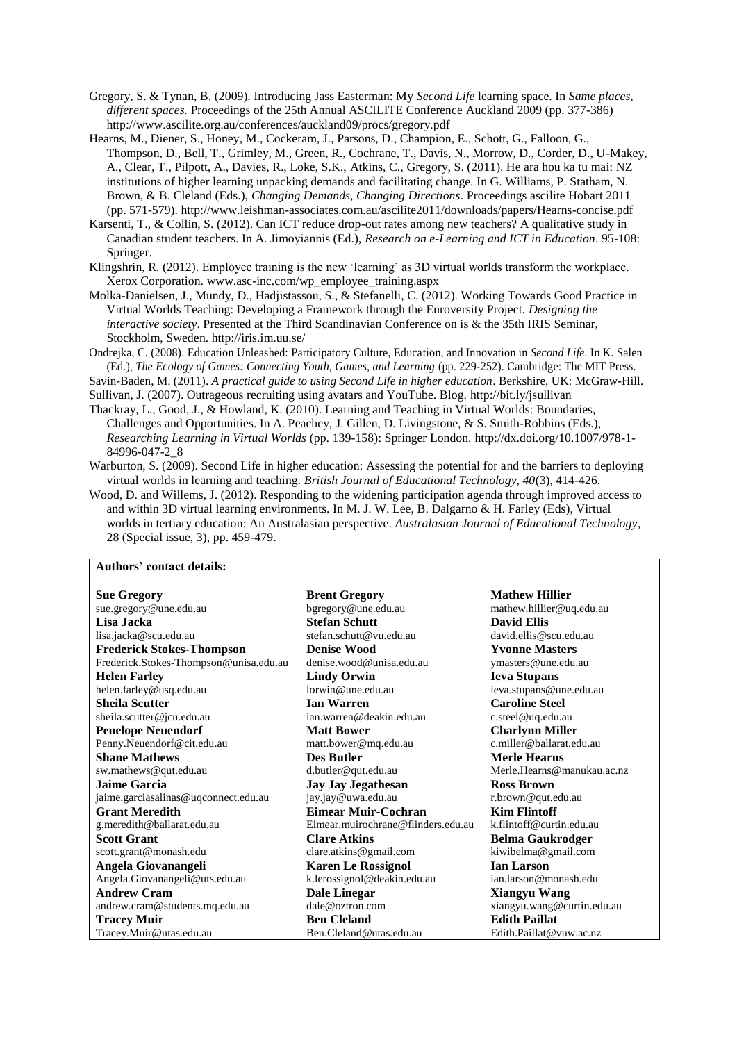- Gregory, S. & Tynan, B. (2009). Introducing Jass Easterman: My *Second Life* learning space. In *Same places, different spaces.* Proceedings of the 25th Annual ASCILITE Conference Auckland 2009 (pp. 377-386) http://www.ascilite.org.au/conferences/auckland09/procs/gregory.pdf
- Hearns, M., Diener, S., Honey, M., Cockeram, J., Parsons, D., Champion, E., Schott, G., Falloon, G., Thompson, D., Bell, T., Grimley, M., Green, R., Cochrane, T., Davis, N., Morrow, D., Corder, D., U-Makey, A., Clear, T., Pilpott, A., Davies, R., Loke, S.K., Atkins, C., Gregory, S. (2011). He ara hou ka tu mai: NZ institutions of higher learning unpacking demands and facilitating change. In G. Williams, P. Statham, N. Brown, & B. Cleland (Eds.), *Changing Demands, Changing Directions*. Proceedings ascilite Hobart 2011 (pp. 571-579). http://www.leishman-associates.com.au/ascilite2011/downloads/papers/Hearns-concise.pdf
- Karsenti, T., & Collin, S. (2012). Can ICT reduce drop-out rates among new teachers? A qualitative study in Canadian student teachers. In A. Jimoyiannis (Ed.), *Research on e-Learning and ICT in Education*. 95-108: Springer.
- Klingshrin, R. (2012). Employee training is the new "learning" as 3D virtual worlds transform the workplace. Xerox Corporation. www.asc-inc.com/wp\_employee\_training.aspx
- Molka-Danielsen, J., Mundy, D., Hadjistassou, S., & Stefanelli, C. (2012). Working Towards Good Practice in Virtual Worlds Teaching: Developing a Framework through the Euroversity Project. *Designing the interactive society*. Presented at the Third Scandinavian Conference on is & the 35th IRIS Seminar, Stockholm, Sweden. http://iris.im.uu.se/
- Ondrejka, C. (2008). Education Unleashed: Participatory Culture, Education, and Innovation in *Second Life*. In K. Salen (Ed.), *The Ecology of Games: Connecting Youth, Games, and Learning* (pp. 229-252). Cambridge: The MIT Press.

Savin-Baden, M. (2011). *A practical guide to using Second Life in higher education*. Berkshire, UK: McGraw-Hill.

Sullivan, J. (2007). Outrageous recruiting using avatars and YouTube. Blog. http://bit.ly/jsullivan

Thackray, L., Good, J., & Howland, K. (2010). Learning and Teaching in Virtual Worlds: Boundaries, Challenges and Opportunities. In A. Peachey, J. Gillen, D. Livingstone, & S. Smith-Robbins (Eds.), *Researching Learning in Virtual Worlds* (pp. 139-158): Springer London. http://dx.doi.org/10.1007/978-1- 84996-047-2\_8

Warburton, S. (2009). Second Life in higher education: Assessing the potential for and the barriers to deploying virtual worlds in learning and teaching. *British Journal of Educational Technology, 40*(3), 414-426.

Wood, D. and Willems, J. (2012). Responding to the widening participation agenda through improved access to and within 3D virtual learning environments. In M. J. W. Lee, B. Dalgarno & H. Farley (Eds), Virtual worlds in tertiary education: An Australasian perspective. *Australasian Journal of Educational Technology*, 28 (Special issue, 3), pp. 459-479.

### **Authors' contact details:**

| <b>Sue Gregory</b>                     | <b>Brent Gregory</b>               | <b>Mathew Hillier</b>      |
|----------------------------------------|------------------------------------|----------------------------|
| sue.gregory@une.edu.au                 | bgregory@une.edu.au                | mathew.hillier@uq.edu.au   |
| Lisa Jacka                             | <b>Stefan Schutt</b>               | <b>David Ellis</b>         |
| lisa.jacka@scu.edu.au                  | stefan.schutt@vu.edu.au            | david.ellis@scu.edu.au     |
| <b>Frederick Stokes-Thompson</b>       | <b>Denise Wood</b>                 | <b>Yvonne Masters</b>      |
| Frederick.Stokes-Thompson@unisa.edu.au | denise.wood@unisa.edu.au           | ymasters@une.edu.au        |
| <b>Helen Farley</b>                    | <b>Lindy Orwin</b>                 | <b>Ieva Stupans</b>        |
| helen.farley@usq.edu.au                | lorwin@une.edu.au                  | ieva.stupans@une.edu.au    |
| <b>Sheila Scutter</b>                  | <b>Ian Warren</b>                  | <b>Caroline Steel</b>      |
| sheila.scutter@jcu.edu.au              | ian.warren@deakin.edu.au           | c.steel@uq.edu.au          |
| <b>Penelope Neuendorf</b>              | <b>Matt Bower</b>                  | <b>Charlynn Miller</b>     |
| Penny.Neuendorf@cit.edu.au             | matt.bower@mq.edu.au               | c.miller@ballarat.edu.au   |
| <b>Shane Mathews</b>                   | <b>Des Butler</b>                  | <b>Merle Hearns</b>        |
| sw.mathews@qut.edu.au                  | d.butler@qut.edu.au                | Merle.Hearns@manukau.ac.nz |
| <b>Jaime Garcia</b>                    | <b>Jay Jay Jegathesan</b>          | <b>Ross Brown</b>          |
| jaime.garciasalinas@uqconnect.edu.au   | jay.jay@uwa.edu.au                 | r.brown@qut.edu.au         |
| <b>Grant Meredith</b>                  | Eimear Muir-Cochran                | <b>Kim Flintoff</b>        |
| g.meredith@ballarat.edu.au             | Eimear.muirochrane@flinders.edu.au | k.flintoff@curtin.edu.au   |
| <b>Scott Grant</b>                     | <b>Clare Atkins</b>                | <b>Belma Gaukrodger</b>    |
| scott.grant@monash.edu                 | clare.atkins@gmail.com             | kiwibelma@gmail.com        |
| Angela Giovanangeli                    | <b>Karen Le Rossignol</b>          | <b>Ian Larson</b>          |
| Angela.Giovanangeli@uts.edu.au         | k.lerossignol@deakin.edu.au        | ian.larson@monash.edu      |
| <b>Andrew Cram</b>                     | <b>Dale Linegar</b>                | <b>Xiangyu Wang</b>        |
| andrew.cram@students.mq.edu.au         | dale@oxtron.com                    | xiangyu.wang@curtin.edu.au |
| <b>Tracey Muir</b>                     | <b>Ben Cleland</b>                 | <b>Edith Paillat</b>       |
| Tracey.Muir@utas.edu.au                | Ben.Cleland@utas.edu.au            | Edith.Paillat@vuw.ac.nz    |